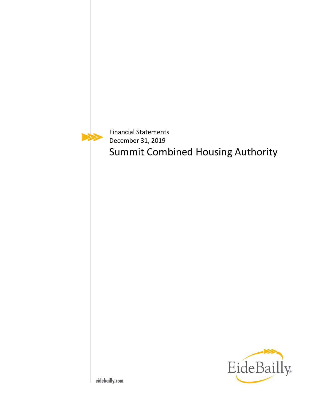Financial Statements December 31, 2019 Summit Combined Housing Authority

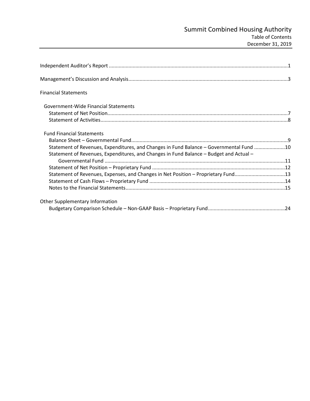| <b>Financial Statements</b>                                                                                                                                                       |  |
|-----------------------------------------------------------------------------------------------------------------------------------------------------------------------------------|--|
| Government-Wide Financial Statements                                                                                                                                              |  |
|                                                                                                                                                                                   |  |
|                                                                                                                                                                                   |  |
| <b>Fund Financial Statements</b>                                                                                                                                                  |  |
|                                                                                                                                                                                   |  |
| Statement of Revenues, Expenditures, and Changes in Fund Balance - Governmental Fund 10<br>Statement of Revenues, Expenditures, and Changes in Fund Balance - Budget and Actual - |  |
|                                                                                                                                                                                   |  |
|                                                                                                                                                                                   |  |
| Statement of Revenues, Expenses, and Changes in Net Position - Proprietary Fund13                                                                                                 |  |
|                                                                                                                                                                                   |  |
|                                                                                                                                                                                   |  |
| Other Supplementary Information                                                                                                                                                   |  |
|                                                                                                                                                                                   |  |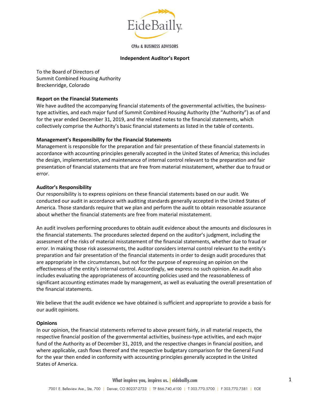

**CPAs & BUSINESS ADVISORS** 

#### **Independent Auditor's Report**

To the Board of Directors of Summit Combined Housing Authority Breckenridge, Colorado

#### **Report on the Financial Statements**

We have audited the accompanying financial statements of the governmental activities, the businesstype activities, and each major fund of Summit Combined Housing Authority (the "Authority") as of and for the year ended December 31, 2019, and the related notes to the financial statements, which collectively comprise the Authority's basic financial statements as listed in the table of contents.

#### **Management's Responsibility for the Financial Statements**

Management is responsible for the preparation and fair presentation of these financial statements in accordance with accounting principles generally accepted in the United States of America; this includes the design, implementation, and maintenance of internal control relevant to the preparation and fair presentation of financial statements that are free from material misstatement, whether due to fraud or error.

#### **Auditor's Responsibility**

Our responsibility is to express opinions on these financial statements based on our audit. We conducted our audit in accordance with auditing standards generally accepted in the United States of America. Those standards require that we plan and perform the audit to obtain reasonable assurance about whether the financial statements are free from material misstatement.

An audit involves performing procedures to obtain audit evidence about the amounts and disclosures in the financial statements. The procedures selected depend on the auditor's judgment, including the assessment of the risks of material misstatement of the financial statements, whether due to fraud or error. In making those risk assessments, the auditor considers internal control relevant to the entity's preparation and fair presentation of the financial statements in order to design audit procedures that are appropriate in the circumstances, but not for the purpose of expressing an opinion on the effectiveness of the entity's internal control. Accordingly, we express no such opinion. An audit also includes evaluating the appropriateness of accounting policies used and the reasonableness of significant accounting estimates made by management, as well as evaluating the overall presentation of the financial statements.

We believe that the audit evidence we have obtained is sufficient and appropriate to provide a basis for our audit opinions.

#### **Opinions**

In our opinion, the financial statements referred to above present fairly, in all material respects, the respective financial position of the governmental activities, business-type activities, and each major fund of the Authority as of December 31, 2019, and the respective changes in financial position, and where applicable, cash flows thereof and the respective budgetary comparison for the General Fund for the year then ended in conformity with accounting principles generally accepted in the United States of America.

**What inspires you, inspires us. | eidebailly.com**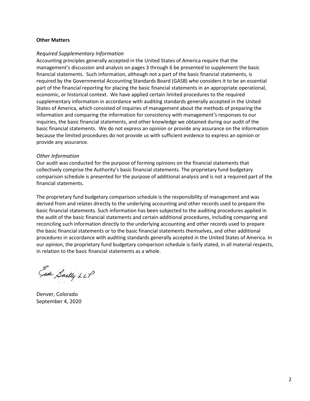#### **Other Matters**

#### *Required Supplementary Information*

Accounting principles generally accepted in the United States of America require that the management's discussion and analysis on pages 3 through 6 be presented to supplement the basic financial statements. Such information, although not a part of the basic financial statements, is required by the Governmental Accounting Standards Board (GASB) who considers it to be an essential part of the financial reporting for placing the basic financial statements in an appropriate operational, economic, or historical context. We have applied certain limited procedures to the required supplementary information in accordance with auditing standards generally accepted in the United States of America, which consisted of inquiries of management about the methods of preparing the information and comparing the information for consistency with management's responses to our inquiries, the basic financial statements, and other knowledge we obtained during our audit of the basic financial statements. We do not express an opinion or provide any assurance on the information because the limited procedures do not provide us with sufficient evidence to express an opinion or provide any assurance.

#### *Other Information*

Our audit was conducted for the purpose of forming opinions on the financial statements that collectively comprise the Authority's basic financial statements. The proprietary fund budgetary comparison schedule is presented for the purpose of additional analysis and is not a required part of the financial statements.

The proprietary fund budgetary comparison schedule is the responsibility of management and was derived from and relates directly to the underlying accounting and other records used to prepare the basic financial statements. Such information has been subjected to the auditing procedures applied in the audit of the basic financial statements and certain additional procedures, including comparing and reconciling such information directly to the underlying accounting and other records used to prepare the basic financial statements or to the basic financial statements themselves, and other additional procedures in accordance with auditing standards generally accepted in the United States of America. In our opinion, the proprietary fund budgetary comparison schedule is fairly stated, in all material respects, in relation to the basic financial statements as a whole.

Ear Sailly LLP

Denver, Colorado September 4, 2020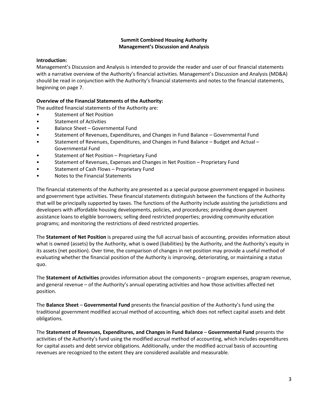#### **Summit Combined Housing Authority Management's Discussion and Analysis**

#### **Introduction:**

Management's Discussion and Analysis is intended to provide the reader and user of our financial statements with a narrative overview of the Authority's financial activities. Management's Discussion and Analysis (MD&A) should be read in conjunction with the Authority's financial statements and notes to the financial statements, beginning on page 7.

#### **Overview of the Financial Statements of the Authority:**

The audited financial statements of the Authority are:

- Statement of Net Position
- Statement of Activities
- Balance Sheet Governmental Fund
- Statement of Revenues, Expenditures, and Changes in Fund Balance Governmental Fund
- Statement of Revenues, Expenditures, and Changes in Fund Balance Budget and Actual Governmental Fund
- Statement of Net Position Proprietary Fund
- Statement of Revenues, Expenses and Changes in Net Position Proprietary Fund
- Statement of Cash Flows Proprietary Fund
- Notes to the Financial Statements

The financial statements of the Authority are presented as a special purpose government engaged in business and government type activities. These financial statements distinguish between the functions of the Authority that will be principally supported by taxes. The functions of the Authority include assisting the jurisdictions and developers with affordable housing developments, policies, and procedures; providing down payment assistance loans to eligible borrowers; selling deed restricted properties; providing community education programs; and monitoring the restrictions of deed restricted properties.

The **Statement of Net Position** is prepared using the full accrual basis of accounting, provides information about what is owned (assets) by the Authority, what is owed (liabilities) by the Authority, and the Authority's equity in its assets (net position). Over time, the comparison of changes in net position may provide a useful method of evaluating whether the financial position of the Authority is improving, deteriorating, or maintaining a status quo.

The **Statement of Activities** provides information about the components – program expenses, program revenue, and general revenue – of the Authority's annual operating activities and how those activities affected net position.

The **Balance Sheet** – **Governmental Fund** presents the financial position of the Authority's fund using the traditional government modified accrual method of accounting, which does not reflect capital assets and debt obligations.

The **Statement of Revenues, Expenditures, and Changes in Fund Balance** – **Governmental Fund** presents the activities of the Authority's fund using the modified accrual method of accounting, which includes expenditures for capital assets and debt service obligations. Additionally, under the modified accrual basis of accounting revenues are recognized to the extent they are considered available and measurable.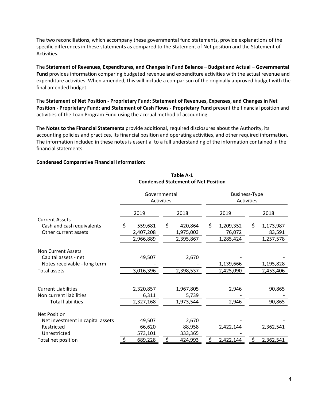The two reconciliations, which accompany these governmental fund statements, provide explanations of the specific differences in these statements as compared to the Statement of Net position and the Statement of Activities.

The **Statement of Revenues, Expenditures, and Changes in Fund Balance – Budget and Actual – Governmental Fund** provides information comparing budgeted revenue and expenditure activities with the actual revenue and expenditure activities. When amended, this will include a comparison of the originally approved budget with the final amended budget.

The **Statement of Net Position - Proprietary Fund; Statement of Revenues, Expenses, and Changes in Net Position - Proprietary Fund; and Statement of Cash Flows - Proprietary Fund** present the financial position and activities of the Loan Program Fund using the accrual method of accounting.

The **Notes to the Financial Statements** provide additional, required disclosures about the Authority, its accounting policies and practices, its financial position and operating activities, and other required information. The information included in these notes is essential to a full understanding of the information contained in the financial statements.

#### **Condensed Comparative Financial Information:**

|                                  | Governmental<br><b>Activities</b> |               |                 | <b>Business-Type</b><br><b>Activities</b> |
|----------------------------------|-----------------------------------|---------------|-----------------|-------------------------------------------|
|                                  | 2019                              | 2018          | 2019            | 2018                                      |
| <b>Current Assets</b>            |                                   |               |                 |                                           |
| Cash and cash equivalents        | \$<br>559,681                     | \$<br>420,864 | \$<br>1,209,352 | \$<br>1,173,987                           |
| Other current assets             | 2,407,208                         | 1,975,003     | 76,072          | 83,591                                    |
|                                  | 2,966,889                         | 2,395,867     | 1,285,424       | 1,257,578                                 |
| Non Current Assets               |                                   |               |                 |                                           |
| Capital assets - net             | 49,507                            | 2,670         |                 |                                           |
| Notes receivable - long term     |                                   |               | 1,139,666       | 1,195,828                                 |
| <b>Total assets</b>              | 3,016,396                         | 2,398,537     | 2,425,090       | 2,453,406                                 |
|                                  |                                   |               |                 |                                           |
| <b>Current Liabilities</b>       | 2,320,857                         | 1,967,805     | 2,946           | 90,865                                    |
| Non current liabilities          | 6,311                             | 5,739         |                 |                                           |
| <b>Total liabilities</b>         | 2,327,168                         | 1,973,544     | 2,946           | 90,865                                    |
| <b>Net Position</b>              |                                   |               |                 |                                           |
| Net investment in capital assets | 49,507                            | 2,670         |                 |                                           |
| Restricted                       | 66,620                            | 88,958        | 2,422,144       | 2,362,541                                 |
| Unrestricted                     | 573,101                           | 333,365       |                 |                                           |
| Total net position               | 689,228                           | 424,993       | 2,422,144       | 2,362,541                                 |

#### **Condensed Statement of Net Position Table A-1**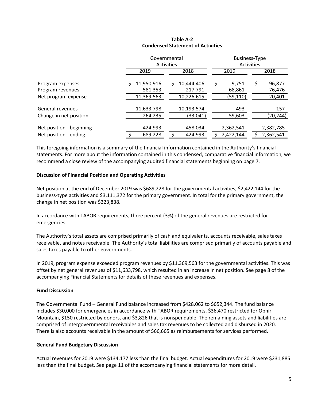#### **Table A-2 Condensed Statement of Activities**

|                                                   |                       | Governmental<br>Activities  | <b>Business-Type</b><br>Activities |                        |  |  |
|---------------------------------------------------|-----------------------|-----------------------------|------------------------------------|------------------------|--|--|
|                                                   | 2019                  | 2018                        | 2019                               | 2018                   |  |  |
| Program expenses<br>Program revenues              | 11,950,916<br>581,353 | 10,444,406<br>S.<br>217,791 | Ş<br>9,751<br>68,861               | \$<br>96,877<br>76,476 |  |  |
| Net program expense                               | 11,369,563            | 10,226,615                  | (59,110)                           | 20,401                 |  |  |
| General revenues                                  | 11,633,798            | 10,193,574                  | 493                                | 157                    |  |  |
| Change in net position                            | 264,235               | (33,041)                    | 59,603                             | (20,244)               |  |  |
| Net position - beginning<br>Net position - ending | 424,993<br>689,228    | 458,034<br>424,993          | 2,362,541<br>2,422,144             | 2,382,785<br>2,362,541 |  |  |

This foregoing information is a summary of the financial information contained in the Authority's financial statements. For more about the information contained in this condensed, comparative financial information, we recommend a close review of the accompanying audited financial statements beginning on page 7.

#### **Discussion of Financial Position and Operating Activities**

Net position at the end of December 2019 was \$689,228 for the governmental activities, \$2,422,144 for the business-type activities and \$3,111,372 for the primary government. In total for the primary government, the change in net position was \$323,838.

In accordance with TABOR requirements, three percent (3%) of the general revenues are restricted for emergencies.

The Authority's total assets are comprised primarily of cash and equivalents, accounts receivable, sales taxes receivable, and notes receivable. The Authority's total liabilities are comprised primarily of accounts payable and sales taxes payable to other governments.

In 2019, program expense exceeded program revenues by \$11,369,563 for the governmental activities. This was offset by net general revenues of \$11,633,798, which resulted in an increase in net position. See page 8 of the accompanying Financial Statements for details of these revenues and expenses.

# **Fund Discussion**

The Governmental Fund – General Fund balance increased from \$428,062 to \$652,344. The fund balance includes \$30,000 for emergencies in accordance with TABOR requirements, \$36,470 restricted for Ophir Mountain, \$150 restricted by donors, and \$3,826 that is nonspendable. The remaining assets and liabilities are comprised of intergovernmental receivables and sales tax revenues to be collected and disbursed in 2020. There is also accounts receivable in the amount of \$66,665 as reimbursements for services performed.

# **General Fund Budgetary Discussion**

Actual revenues for 2019 were \$134,177 less than the final budget. Actual expenditures for 2019 were \$231,885 less than the final budget. See page 11 of the accompanying financial statements for more detail.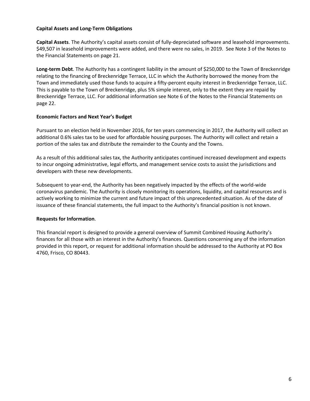#### **Capital Assets and Long-Term Obligations**

**Capital Assets**. The Authority's capital assets consist of fully-depreciated software and leasehold improvements. \$49,507 in leasehold improvements were added, and there were no sales, in 2019. See Note 3 of the Notes to the Financial Statements on page 21.

**Long-term Debt**. The Authority has a contingent liability in the amount of \$250,000 to the Town of Breckenridge relating to the financing of Breckenridge Terrace, LLC in which the Authority borrowed the money from the Town and immediately used those funds to acquire a fifty-percent equity interest in Breckenridge Terrace, LLC. This is payable to the Town of Breckenridge, plus 5% simple interest, only to the extent they are repaid by Breckenridge Terrace, LLC. For additional information see Note 6 of the Notes to the Financial Statements on page 22.

#### **Economic Factors and Next Year's Budget**

Pursuant to an election held in November 2016, for ten years commencing in 2017, the Authority will collect an additional 0.6% sales tax to be used for affordable housing purposes. The Authority will collect and retain a portion of the sales tax and distribute the remainder to the County and the Towns.

As a result of this additional sales tax, the Authority anticipates continued increased development and expects to incur ongoing administrative, legal efforts, and management service costs to assist the jurisdictions and developers with these new developments.

Subsequent to year-end, the Authority has been negatively impacted by the effects of the world-wide coronavirus pandemic. The Authority is closely monitoring its operations, liquidity, and capital resources and is actively working to minimize the current and future impact of this unprecedented situation. As of the date of issuance of these financial statements, the full impact to the Authority's financial position is not known.

# **Requests for Information**.

This financial report is designed to provide a general overview of Summit Combined Housing Authority's finances for all those with an interest in the Authority's finances. Questions concerning any of the information provided in this report, or request for additional information should be addressed to the Authority at PO Box 4760, Frisco, CO 80443.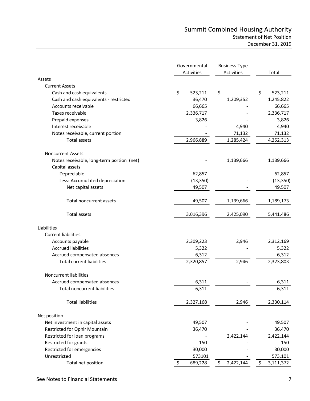# Summit Combined Housing Authority Statement of Net Position December 31, 2019

|                                                             | Governmental<br>Activities | Business-Type<br>Activities | Total           |
|-------------------------------------------------------------|----------------------------|-----------------------------|-----------------|
| Assets                                                      |                            |                             |                 |
| <b>Current Assets</b>                                       |                            |                             |                 |
| Cash and cash equivalents                                   | \$<br>523,211              | \$                          | \$<br>523,211   |
| Cash and cash equivalents - restricted                      | 36,470                     | 1,209,352                   | 1,245,822       |
| Accounts receivable                                         | 66,665                     |                             | 66,665          |
| Taxes receivable                                            | 2,336,717                  |                             | 2,336,717       |
| Prepaid expenses                                            | 3,826                      |                             | 3,826           |
| Interest receivable                                         |                            | 4,940                       | 4,940           |
| Notes receivable, current portion                           |                            | 71,132                      | 71,132          |
| <b>Total assets</b>                                         | 2,966,889                  | 1,285,424                   | 4,252,313       |
| <b>Noncurrent Assets</b>                                    |                            |                             |                 |
| Notes receivable, long-term portion (net)<br>Capital assets |                            | 1,139,666                   | 1,139,666       |
| Depreciable                                                 | 62,857                     |                             | 62,857          |
| Less: Accumulated depreciation                              | (13, 350)                  |                             | (13, 350)       |
| Net capital assets                                          | 49,507                     |                             | 49,507          |
| Total noncurrent assets                                     | 49,507                     | 1,139,666                   | 1,189,173       |
| <b>Total assets</b>                                         | 3,016,396                  | 2,425,090                   | 5,441,486       |
| Liabilities                                                 |                            |                             |                 |
| <b>Current liabilities</b>                                  |                            |                             |                 |
| Accounts payable                                            | 2,309,223                  | 2,946                       | 2,312,169       |
| <b>Accrued liabilities</b>                                  | 5,322                      |                             | 5,322           |
| Accrued compensated absences                                | 6,312                      |                             | 6,312           |
| <b>Total current liabilities</b>                            | 2,320,857                  | 2,946                       | 2,323,803       |
| Noncurrent liabilities                                      |                            |                             |                 |
| Accrued compensated absences                                | 6,311                      |                             | 6,311           |
| Total noncurrent liabilities                                | 6,311                      |                             | 6,311           |
| <b>Total liabilities</b>                                    | 2,327,168                  | 2,946                       | 2,330,114       |
| Net position                                                |                            |                             |                 |
| Net investment in capital assets                            | 49,507                     |                             | 49,507          |
| Restricted for Ophir Mountain                               | 36,470                     |                             | 36,470          |
| Restricted for loan programs                                |                            | 2,422,144                   | 2,422,144       |
| Restricted for grants                                       | 150                        |                             | 150             |
| Restricted for emergencies                                  | 30,000                     |                             | 30,000          |
| Unrestricted                                                | 573101                     |                             | 573,101         |
| Total net position                                          | $\zeta$<br>689,228         | \$<br>2,422,144             | \$<br>3,111,372 |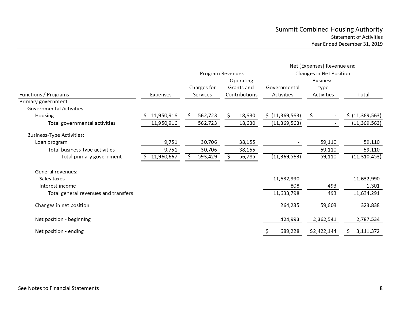|                                      |            | Program Revenues                                                           |         |                            |                                 | Net (Expenses) Revenue and<br>Changes in Net Position |             |                 |  |
|--------------------------------------|------------|----------------------------------------------------------------------------|---------|----------------------------|---------------------------------|-------------------------------------------------------|-------------|-----------------|--|
| Functions / Programs                 | Expenses   | Operating<br>Charges for<br>Grants and<br>Contributions<br><b>Services</b> |         | Governmental<br>Activities | Business-<br>type<br>Activities | Total                                                 |             |                 |  |
| Primary government                   |            |                                                                            |         |                            |                                 |                                                       |             |                 |  |
| <b>Governmental Activities:</b>      |            |                                                                            |         |                            |                                 |                                                       |             |                 |  |
| Housing                              | 11,950,916 | S.                                                                         | 562,723 | S                          | 18,630                          | \$ (11,369,563)                                       | \$          | \$ (11,369,563) |  |
| Total governmental activities        | 11,950,916 |                                                                            | 562,723 |                            | 18,630                          | (11, 369, 563)                                        |             | (11, 369, 563)  |  |
| <b>Business-Type Activities:</b>     |            |                                                                            |         |                            |                                 |                                                       |             |                 |  |
| Loan program                         | 9,751      |                                                                            | 30,706  |                            | 38,155                          |                                                       | 59,110      | 59,110          |  |
| Total business-type activities       | 9,751      |                                                                            | 30,706  |                            | 38,155                          |                                                       | 59,110      | 59,110          |  |
| Total primary government             | 11,960,667 |                                                                            | 593,429 |                            | 56,785                          | (11, 369, 563)                                        | 59,110      | (11, 310, 453)  |  |
| General revenues:                    |            |                                                                            |         |                            |                                 |                                                       |             |                 |  |
| Sales taxes                          |            |                                                                            |         |                            |                                 | 11,632,990                                            |             | 11,632,990      |  |
| Interest income                      |            |                                                                            |         |                            |                                 | 808                                                   | 493         | 1,301           |  |
| Total general revenues and transfers |            |                                                                            |         |                            |                                 | 11,633,798                                            | 493         | 11,634,291      |  |
| Changes in net position              |            |                                                                            |         |                            |                                 | 264,235                                               | 59,603      | 323,838         |  |
| Net position - beginning             |            |                                                                            |         |                            |                                 | 424,993                                               | 2,362,541   | 2,787,534       |  |
| Net position - ending                |            |                                                                            |         |                            |                                 | 689,228                                               | \$2,422,144 | 3,111,372       |  |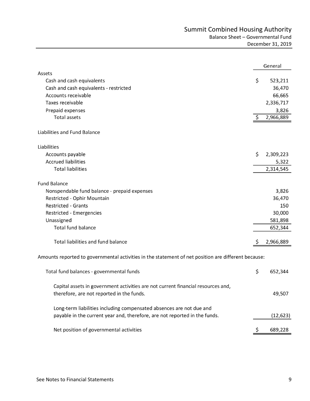|                                                                                                                                                    |    | General   |
|----------------------------------------------------------------------------------------------------------------------------------------------------|----|-----------|
| Assets                                                                                                                                             |    |           |
| Cash and cash equivalents                                                                                                                          | \$ | 523,211   |
| Cash and cash equivalents - restricted                                                                                                             |    | 36,470    |
| Accounts receivable                                                                                                                                |    | 66,665    |
| Taxes receivable                                                                                                                                   |    | 2,336,717 |
| Prepaid expenses                                                                                                                                   |    | 3,826     |
| <b>Total assets</b>                                                                                                                                | \$ | 2,966,889 |
| Liabilities and Fund Balance                                                                                                                       |    |           |
| Liabilities                                                                                                                                        |    |           |
| Accounts payable                                                                                                                                   | \$ | 2,309,223 |
| <b>Accrued liabilities</b>                                                                                                                         |    | 5,322     |
| <b>Total liabilities</b>                                                                                                                           |    | 2,314,545 |
| <b>Fund Balance</b>                                                                                                                                |    |           |
| Nonspendable fund balance - prepaid expenses                                                                                                       |    | 3,826     |
| Restricted - Ophir Mountain                                                                                                                        |    | 36,470    |
| <b>Restricted - Grants</b>                                                                                                                         |    | 150       |
| Restricted - Emergencies                                                                                                                           |    | 30,000    |
| Unassigned                                                                                                                                         |    | 581,898   |
| <b>Total fund balance</b>                                                                                                                          |    | 652,344   |
|                                                                                                                                                    |    |           |
| Total liabilities and fund balance                                                                                                                 | Ş  | 2,966,889 |
| Amounts reported to governmental activities in the statement of net position are different because:                                                |    |           |
| Total fund balances - governmental funds                                                                                                           | \$ | 652,344   |
| Capital assets in government activities are not current financial resources and<br>therefore, are not reported in the funds.                       |    | 49,507    |
| Long-term liabilities including compensated absences are not due and<br>payable in the current year and, therefore, are not reported in the funds. |    | (12, 623) |
| Net position of governmental activities                                                                                                            | \$ | 689,228   |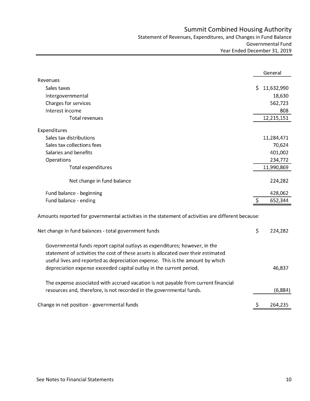# Summit Combined Housing Authority

Statement of Revenues, Expenditures, and Changes in Fund Balance Governmental Fund Year Ended December 31, 2019

|                                                                                                                                                                                                                                                    |     | General    |
|----------------------------------------------------------------------------------------------------------------------------------------------------------------------------------------------------------------------------------------------------|-----|------------|
| Revenues                                                                                                                                                                                                                                           |     |            |
| Sales taxes                                                                                                                                                                                                                                        | \$  | 11,632,990 |
| Intergovernmental                                                                                                                                                                                                                                  |     | 18,630     |
| Charges for services                                                                                                                                                                                                                               |     | 562,723    |
| Interest income                                                                                                                                                                                                                                    |     | 808        |
| Total revenues                                                                                                                                                                                                                                     |     | 12,215,151 |
| Expenditures                                                                                                                                                                                                                                       |     |            |
| Sales tax distributions                                                                                                                                                                                                                            |     | 11,284,471 |
| Sales tax collections fees                                                                                                                                                                                                                         |     | 70,624     |
| Salaries and benefits                                                                                                                                                                                                                              |     | 401,002    |
| Operations                                                                                                                                                                                                                                         |     | 234,772    |
| Total expenditures                                                                                                                                                                                                                                 |     | 11,990,869 |
| Net change in fund balance                                                                                                                                                                                                                         |     | 224,282    |
| Fund balance - beginning                                                                                                                                                                                                                           |     | 428,062    |
| Fund balance - ending                                                                                                                                                                                                                              | \$  | 652,344    |
| Amounts reported for governmental activities in the statement of activities are different because:                                                                                                                                                 |     |            |
| Net change in fund balances - total government funds                                                                                                                                                                                               | \$  | 224,282    |
| Governmental funds report capital outlays as expenditures; however, in the<br>statement of activities the cost of these assets is allocated over their estimated<br>useful lives and reported as depreciation expense. This is the amount by which |     |            |
| depreciation expense exceeded capital outlay in the current period.                                                                                                                                                                                |     | 46,837     |
| The expense associated with accrued vacation is not payable from current financial                                                                                                                                                                 |     |            |
| resources and, therefore, is not recorded in the governmental funds.                                                                                                                                                                               |     | (6,884)    |
| Change in net position - governmental funds                                                                                                                                                                                                        | \$, | 264,235    |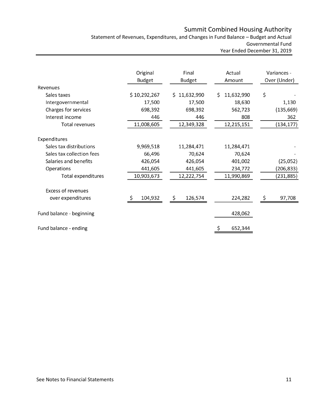# Summit Combined Housing Authority

Statement of Revenues, Expenditures, and Changes in Fund Balance – Budget and Actual Governmental Fund Year Ended December 31, 2019

|                           | Original      | Final         | Actual           | Variances -  |
|---------------------------|---------------|---------------|------------------|--------------|
|                           | <b>Budget</b> | <b>Budget</b> | Amount           | Over (Under) |
| Revenues                  |               |               |                  |              |
| Sales taxes               | \$10,292,267  | \$11,632,990  | 11,632,990<br>Ś. | \$           |
| Intergovernmental         | 17,500        | 17,500        | 18,630           | 1,130        |
| Charges for services      | 698,392       | 698,392       | 562,723          | (135, 669)   |
| Interest income           | 446           | 446           | 808              | 362          |
| <b>Total revenues</b>     | 11,008,605    | 12,349,328    | 12,215,151       | (134, 177)   |
|                           |               |               |                  |              |
| Expenditures              |               |               |                  |              |
| Sales tax distributions   | 9,969,518     | 11,284,471    | 11,284,471       |              |
| Sales tax collection fees | 66,496        | 70,624        | 70,624           |              |
| Salaries and benefits     | 426,054       | 426,054       | 401,002          | (25,052)     |
| Operations                | 441,605       | 441,605       | 234,772          | (206, 833)   |
| Total expenditures        | 10,903,673    | 12,222,754    | 11,990,869       | (231, 885)   |
| <b>Excess of revenues</b> |               |               |                  |              |
| over expenditures         | \$<br>104,932 | \$<br>126,574 | 224,282          | \$<br>97,708 |
| Fund balance - beginning  |               |               | 428,062          |              |
| Fund balance - ending     |               |               | 652,344<br>Ś     |              |
|                           |               |               |                  |              |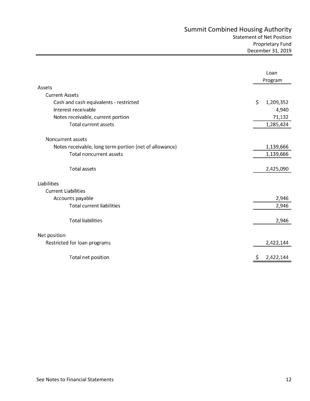# Summit Combined Housing Authority Statement of Net Position

|                                                        | Loan<br>Program |           |
|--------------------------------------------------------|-----------------|-----------|
| Assets                                                 |                 |           |
| <b>Current Assets</b>                                  |                 |           |
| Cash and cash equivalents - restricted                 | \$              | 1,209,352 |
| Interest receivable                                    |                 | 4,940     |
| Notes receivable, current portion                      |                 | 71,132    |
| Total current assets                                   |                 | 1,285,424 |
| Noncurrent assets                                      |                 |           |
| Notes receivable, long term portion (net of allowance) |                 | 1,139,666 |
| <b>Total noncurrent assets</b>                         |                 | 1,139,666 |
| <b>Total assets</b>                                    |                 | 2,425,090 |
| Liabilities                                            |                 |           |
| <b>Current Liabilities</b>                             |                 |           |
| Accounts payable                                       |                 | 2,946     |
| <b>Total current liabilities</b>                       |                 | 2,946     |
| <b>Total liabilities</b>                               |                 | 2,946     |
| Net position                                           |                 |           |
| Restricted for loan programs                           |                 | 2,422,144 |
| Total net position                                     |                 | 2,422,144 |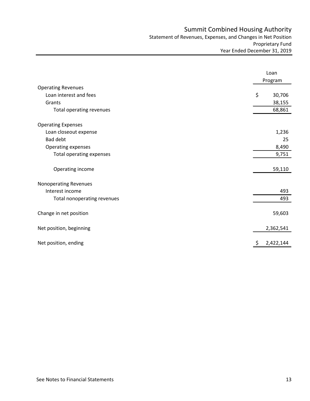# Summit Combined Housing Authority

Statement of Revenues, Expenses, and Changes in Net Position Proprietary Fund Year Ended December 31, 2019

|                              | Loan<br>Program |
|------------------------------|-----------------|
| <b>Operating Revenues</b>    |                 |
| Loan interest and fees       | \$<br>30,706    |
| Grants                       | 38,155          |
| Total operating revenues     | 68,861          |
| <b>Operating Expenses</b>    |                 |
| Loan closeout expense        | 1,236           |
| <b>Bad debt</b>              | 25              |
| Operating expenses           | 8,490           |
| Total operating expenses     | 9,751           |
| Operating income             | 59,110          |
| <b>Nonoperating Revenues</b> |                 |
| Interest income              | 493             |
| Total nonoperating revenues  | 493             |
| Change in net position       | 59,603          |
| Net position, beginning      | 2,362,541       |
| Net position, ending         | \$<br>2,422,144 |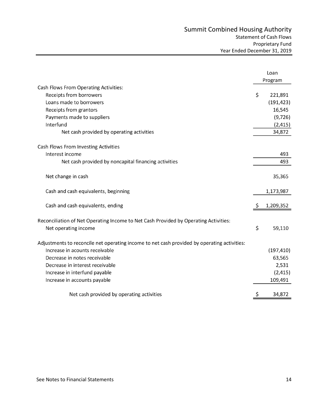|                                                                                             |     | Loan       |
|---------------------------------------------------------------------------------------------|-----|------------|
|                                                                                             |     | Program    |
| Cash Flows From Operating Activities:                                                       |     |            |
| Receipts from borrowers                                                                     | \$  | 221,891    |
| Loans made to borrowers                                                                     |     | (191, 423) |
| Receipts from grantors                                                                      |     | 16,545     |
| Payments made to suppliers                                                                  |     | (9, 726)   |
| Interfund                                                                                   |     | (2, 415)   |
| Net cash provided by operating activities                                                   |     | 34,872     |
| Cash Flows From Investing Activities                                                        |     |            |
| Interest income                                                                             |     | 493        |
| Net cash provided by noncapital financing activities                                        |     | 493        |
| Net change in cash                                                                          |     | 35,365     |
| Cash and cash equivalents, beginning                                                        |     | 1,173,987  |
| Cash and cash equivalents, ending                                                           | \$, | 1,209,352  |
| Reconciliation of Net Operating Income to Net Cash Provided by Operating Activities:        |     |            |
| Net operating income                                                                        | \$  | 59,110     |
| Adjustments to reconcile net operating income to net cash provided by operating activities: |     |            |
| Increase in acounts receivable                                                              |     | (197, 410) |
| Decrease in notes receivable                                                                |     | 63,565     |
| Decrease in interest receivable                                                             |     | 2,531      |
| Increase in interfund payable                                                               |     | (2, 415)   |
| Increase in accounts payable                                                                |     | 109,491    |
| Net cash provided by operating activities                                                   | \$  | 34,872     |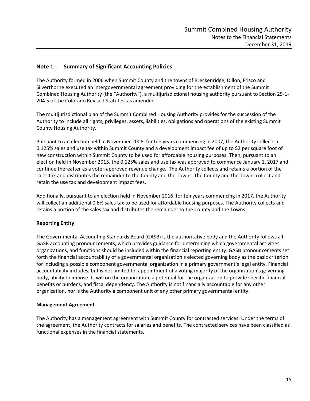# **Note 1 - Summary of Significant Accounting Policies**

The Authority formed in 2006 when Summit County and the towns of Breckenridge, Dillon, Frisco and Silverthorne executed an intergovernmental agreement providing for the establishment of the Summit Combined Housing Authority (the "Authority"), a multijurisdictional housing authority pursuant to Section 29-1- 204.5 of the Colorado Revised Statutes, as amended.

The multijurisdictional plan of the Summit Combined Housing Authority provides for the succession of the Authority to include all rights, privileges, assets, liabilities, obligations and operations of the existing Summit County Housing Authority.

Pursuant to an election held in November 2006, for ten years commencing in 2007, the Authority collects a 0.125% sales and use tax within Summit County and a development impact fee of up to \$2 per square foot of new construction within Summit County to be used for affordable housing purposes. Then, pursuant to an election held in November 2015, the 0.125% sales and use tax was approved to commence January 1, 2017 and continue thereafter as a voter-approved revenue change. The Authority collects and retains a portion of the sales tax and distributes the remainder to the County and the Towns. The County and the Towns collect and retain the use tax and development impact fees.

Additionally, pursuant to an election held in November 2016, for ten years commencing in 2017, the Authority will collect an additional 0.6% sales tax to be used for affordable housing purposes. The Authority collects and retains a portion of the sales tax and distributes the remainder to the County and the Towns.

# **Reporting Entity**

The Governmental Accounting Standards Board (GASB) is the authoritative body and the Authority follows all GASB accounting pronouncements, which provides guidance for determining which governmental activities, organizations, and functions should be included within the financial reporting entity. GASB pronouncements set forth the financial accountability of a governmental organization's elected governing body as the basic criterion for including a possible component governmental organization in a primary government's legal entity. Financial accountability includes, but is not limited to, appointment of a voting majority of the organization's governing body, ability to impose its will on the organization, a potential for the organization to provide specific financial benefits or burdens, and fiscal dependency. The Authority is not financially accountable for any other organization, nor is the Authority a component unit of any other primary governmental entity.

#### **Management Agreement**

The Authority has a management agreement with Summit County for contracted services. Under the terms of the agreement, the Authority contracts for salaries and benefits. The contracted services have been classified as functional expenses in the financial statements.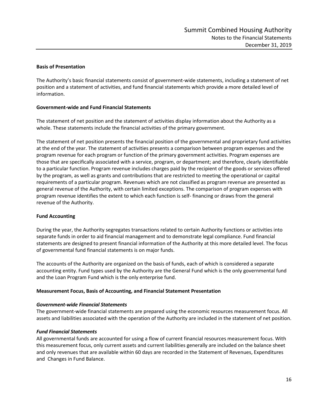#### **Basis of Presentation**

The Authority's basic financial statements consist of government-wide statements, including a statement of net position and a statement of activities, and fund financial statements which provide a more detailed level of information.

#### **Government-wide and Fund Financial Statements**

The statement of net position and the statement of activities display information about the Authority as a whole. These statements include the financial activities of the primary government.

The statement of net position presents the financial position of the governmental and proprietary fund activities at the end of the year. The statement of activities presents a comparison between program expenses and the program revenue for each program or function of the primary government activities. Program expenses are those that are specifically associated with a service, program, or department; and therefore, clearly identifiable to a particular function. Program revenue includes charges paid by the recipient of the goods or services offered by the program, as well as grants and contributions that are restricted to meeting the operational or capital requirements of a particular program. Revenues which are not classified as program revenue are presented as general revenue of the Authority, with certain limited exceptions. The comparison of program expenses with program revenue identifies the extent to which each function is self- financing or draws from the general revenue of the Authority.

#### **Fund Accounting**

During the year, the Authority segregates transactions related to certain Authority functions or activities into separate funds in order to aid financial management and to demonstrate legal compliance. Fund financial statements are designed to present financial information of the Authority at this more detailed level. The focus of governmental fund financial statements is on major funds.

The accounts of the Authority are organized on the basis of funds, each of which is considered a separate accounting entity. Fund types used by the Authority are the General Fund which is the only governmental fund and the Loan Program Fund which is the only enterprise fund.

#### **Measurement Focus, Basis of Accounting, and Financial Statement Presentation**

#### *Government-wide Financial Statements*

The government-wide financial statements are prepared using the economic resources measurement focus. All assets and liabilities associated with the operation of the Authority are included in the statement of net position.

#### *Fund Financial Statements*

All governmental funds are accounted for using a flow of current financial resources measurement focus. With this measurement focus, only current assets and current liabilities generally are included on the balance sheet and only revenues that are available within 60 days are recorded in the Statement of Revenues, Expenditures and Changes in Fund Balance.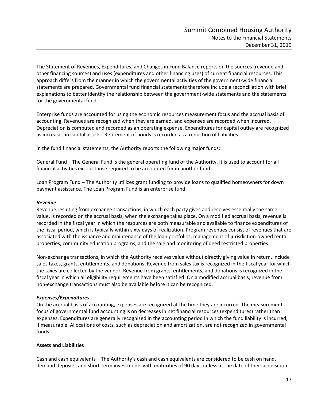The Statement of Revenues, Expenditures, and Changes in Fund Balance reports on the sources (revenue and other financing sources) and uses (expenditures and other financing uses) of current financial resources. This approach differs from the manner in which the governmental activities of the government-wide financial statements are prepared. Governmental fund financial statements therefore include a reconciliation with brief explanations to better identify the relationship between the government-wide statements and the statements for the governmental fund.

Enterprise funds are accounted for using the economic resources measurement focus and the accrual basis of accounting. Revenues are recognized when they are earned, and expenses are recorded when incurred. Depreciation is computed and recorded as an operating expense. Expenditures for capital outlay are recognized as increases in capital assets. Retirement of bonds is recorded as a reduction of liabilities.

In the fund financial statements, the Authority reports the following major funds:

General Fund – The General Fund is the general operating fund of the Authority. It is used to account for all financial activities except those required to be accounted for in another fund.

Loan Program Fund – The Authority utilizes grant funding to provide loans to qualified homeowners for down payment assistance. The Loan Program Fund is an enterprise fund.

#### *Revenue*

Revenue resulting from exchange transactions, in which each party gives and receives essentially the same value, is recorded on the accrual basis, when the exchange takes place. On a modified accrual basis, revenue is recorded in the fiscal year in which the resources are both measurable and available to finance expenditures of the fiscal period, which is typically within sixty days of realization. Program revenues consist of revenues that are associated with the issuance and maintenance of the loan portfolios, management of jurisdiction-owned rental properties, community education programs, and the sale and monitoring of deed restricted properties.

Non-exchange transactions, in which the Authority receives value without directly giving value in return, include sales taxes, grants, entitlements, and donations. Revenue from sales tax is recognized in the fiscal year for which the taxes are collected by the vendor. Revenue from grants, entitlements, and donations is recognized in the fiscal year in which all eligibility requirements have been satisfied. On a modified accrual basis, revenue from non-exchange transactions must also be available before it can be recognized.

# *Expenses/Expenditures*

On the accrual basis of accounting, expenses are recognized at the time they are incurred. The measurement focus of governmental fund accounting is on decreases in net financial resources (expenditures) rather than expenses. Expenditures are generally recognized in the accounting period in which the fund liability is incurred, if measurable. Allocations of costs, such as depreciation and amortization, are not recognized in governmental funds.

# **Assets and Liabilities**

Cash and cash equivalents – The Authority's cash and cash equivalents are considered to be cash on hand, demand deposits, and short-term investments with maturities of 90 days or less at the date of their acquisition.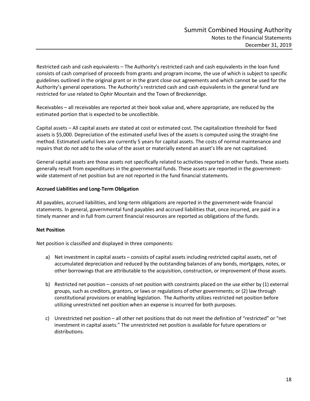Restricted cash and cash equivalents – The Authority's restricted cash and cash equivalents in the loan fund consists of cash comprised of proceeds from grants and program income, the use of which is subject to specific guidelines outlined in the original grant or in the grant close out agreements and which cannot be used for the Authority's general operations. The Authority's restricted cash and cash equivalents in the general fund are restricted for use related to Ophir Mountain and the Town of Breckenridge.

Receivables – all receivables are reported at their book value and, where appropriate, are reduced by the estimated portion that is expected to be uncollectible.

Capital assets – All capital assets are stated at cost or estimated cost. The capitalization threshold for fixed assets is \$5,000. Depreciation of the estimated useful lives of the assets is computed using the straight-line method. Estimated useful lives are currently 5 years for capital assets. The costs of normal maintenance and repairs that do not add to the value of the asset or materially extend an asset's life are not capitalized.

General capital assets are those assets not specifically related to activities reported in other funds. These assets generally result from expenditures in the governmental funds. These assets are reported in the governmentwide statement of net position but are not reported in the fund financial statements.

#### **Accrued Liabilities and Long-Term Obligation**

All payables, accrued liabilities, and long-term obligations are reported in the government-wide financial statements. In general, governmental fund payables and accrued liabilities that, once incurred, are paid in a timely manner and in full from current financial resources are reported as obligations of the funds.

# **Net Position**

Net position is classified and displayed in three components:

- a) Net investment in capital assets consists of capital assets including restricted capital assets, net of accumulated depreciation and reduced by the outstanding balances of any bonds, mortgages, notes, or other borrowings that are attributable to the acquisition, construction, or improvement of those assets.
- b) Restricted net position consists of net position with constraints placed on the use either by (1) external groups, such as creditors, grantors, or laws or regulations of other governments; or (2) law through constitutional provisions or enabling legislation. The Authority utilizes restricted net position before utilizing unrestricted net position when an expense is incurred for both purposes.
- c) Unrestricted net position all other net positions that do not meet the definition of "restricted" or "net investment in capital assets." The unrestricted net position is available for future operations or distributions.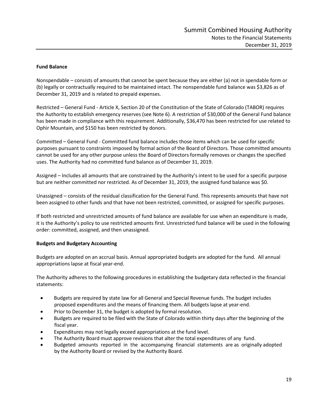#### **Fund Balance**

Nonspendable – consists of amounts that cannot be spent because they are either (a) not in spendable form or (b) legally or contractually required to be maintained intact. The nonspendable fund balance was \$3,826 as of December 31, 2019 and is related to prepaid expenses.

Restricted – General Fund - Article X, Section 20 of the Constitution of the State of Colorado (TABOR) requires the Authority to establish emergency reserves (see Note 6). A restriction of \$30,000 of the General Fund balance has been made in compliance with this requirement. Additionally, \$36,470 has been restricted for use related to Ophir Mountain, and \$150 has been restricted by donors.

Committed – General Fund - Committed fund balance includes those items which can be used for specific purposes pursuant to constraints imposed by formal action of the Board of Directors. Those committed amounts cannot be used for any other purpose unless the Board of Directors formally removes or changes the specified uses. The Authority had no committed fund balance as of December 31, 2019.

Assigned – Includes all amounts that are constrained by the Authority's intent to be used for a specific purpose but are neither committed nor restricted. As of December 31, 2019, the assigned fund balance was \$0.

Unassigned – consists of the residual classification for the General Fund. This represents amounts that have not been assigned to other funds and that have not been restricted, committed, or assigned for specific purposes.

If both restricted and unrestricted amounts of fund balance are available for use when an expenditure is made, it is the Authority's policy to use restricted amounts first. Unrestricted fund balance will be used in the following order: committed, assigned, and then unassigned.

#### **Budgets and Budgetary Accounting**

Budgets are adopted on an accrual basis. Annual appropriated budgets are adopted for the fund. All annual appropriations lapse at fiscal year-end.

The Authority adheres to the following procedures in establishing the budgetary data reflected in the financial statements:

- Budgets are required by state law for all General and Special Revenue funds. The budget includes proposed expenditures and the means of financing them. All budgets lapse at year-end.
- Prior to December 31, the budget is adopted by formal resolution.
- Budgets are required to be filed with the State of Colorado within thirty days after the beginning of the fiscal year.
- Expenditures may not legally exceed appropriations at the fund level.
- The Authority Board must approve revisions that alter the total expenditures of any fund.
- Budgeted amounts reported in the accompanying financial statements are as originally adopted by the Authority Board or revised by the Authority Board.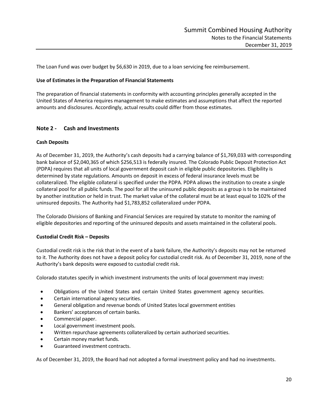The Loan Fund was over budget by \$6,630 in 2019, due to a loan servicing fee reimbursement.

#### **Use of Estimates in the Preparation of Financial Statements**

The preparation of financial statements in conformity with accounting principles generally accepted in the United States of America requires management to make estimates and assumptions that affect the reported amounts and disclosures. Accordingly, actual results could differ from those estimates.

#### **Note 2 - Cash and Investments**

#### **Cash Deposits**

As of December 31, 2019, the Authority's cash deposits had a carrying balance of \$1,769,033 with corresponding bank balance of \$2,040,365 of which \$256,513 is federally insured. The Colorado Public Deposit Protection Act (PDPA) requires that all units of local government deposit cash in eligible public depositories. Eligibility is determined by state regulations. Amounts on deposit in excess of federal insurance levels must be collateralized. The eligible collateral is specified under the PDPA. PDPA allows the institution to create a single collateral pool for all public funds. The pool for all the uninsured public deposits as a group is to be maintained by another institution or held in trust. The market value of the collateral must be at least equal to 102% of the uninsured deposits. The Authority had \$1,783,852 collateralized under PDPA.

The Colorado Divisions of Banking and Financial Services are required by statute to monitor the naming of eligible depositories and reporting of the uninsured deposits and assets maintained in the collateral pools.

#### **Custodial Credit Risk – Deposits**

Custodial credit risk is the risk that in the event of a bank failure, the Authority's deposits may not be returned to it. The Authority does not have a deposit policy for custodial credit risk. As of December 31, 2019, none of the Authority's bank deposits were exposed to custodial credit risk.

Colorado statutes specify in which investment instruments the units of local government may invest:

- Obligations of the United States and certain United States government agency securities.
- Certain international agency securities.
- General obligation and revenue bonds of United States local government entities
- Bankers' acceptances of certain banks.
- Commercial paper.
- Local government investment pools.
- Written repurchase agreements collateralized by certain authorized securities.
- Certain money market funds.
- Guaranteed investment contracts.

As of December 31, 2019, the Board had not adopted a formal investment policy and had no investments.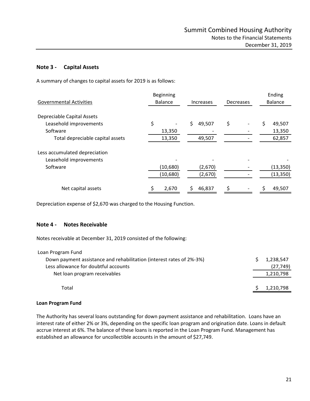# **Note 3 - Capital Assets**

A summary of changes to capital assets for 2019 is as follows:

| <b>Governmental Activities</b>   | Beginning<br><b>Balance</b> | <b>Increases</b> | Decreases | Ending<br><b>Balance</b> |
|----------------------------------|-----------------------------|------------------|-----------|--------------------------|
| Depreciable Capital Assets       |                             |                  |           |                          |
| Leasehold improvements           | \$                          | \$<br>49,507     | \$        | \$<br>49,507             |
| Software                         | 13,350                      |                  |           | 13,350                   |
| Total depreciable capital assets | 13,350                      | 49,507           |           | 62,857                   |
| Less accumulated depreciation    |                             |                  |           |                          |
| Leasehold improvements           |                             |                  |           |                          |
| Software                         | (10,680)                    | (2,670)          |           | (13, 350)                |
|                                  | (10,680)                    | (2,670)          |           | (13, 350)                |
| Net capital assets               | 2,670                       | 46,837           |           | Ś<br>49,507              |

Depreciation expense of \$2,670 was charged to the Housing Function.

#### **Note 4 - Notes Receivable**

Notes receivable at December 31, 2019 consisted of the following:

| Loan Program Fund                                                    |           |
|----------------------------------------------------------------------|-----------|
| Down payment assistance and rehabilitation (interest rates of 2%-3%) | 1,238,547 |
| Less allowance for doubtful accounts                                 | (27, 749) |
| Net loan program receivables                                         | 1,210,798 |
| Total                                                                | 1,210,798 |

#### **Loan Program Fund**

The Authority has several loans outstanding for down payment assistance and rehabilitation. Loans have an interest rate of either 2% or 3%, depending on the specific loan program and origination date. Loans in default accrue interest at 6%. The balance of these loans is reported in the Loan Program Fund. Management has established an allowance for uncollectible accounts in the amount of \$27,749.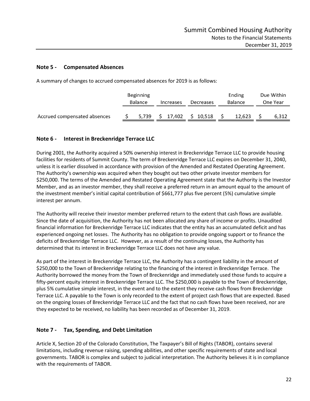# **Note 5 - Compensated Absences**

A summary of changes to accrued compensated absences for 2019 is as follows:

| Beginning<br><b>Balance</b>  |  |       |    | Increases | Decreases | Ending<br><b>Balance</b> |        | Due Within<br>One Year |       |
|------------------------------|--|-------|----|-----------|-----------|--------------------------|--------|------------------------|-------|
| Accrued compensated absences |  | 5.739 | S. | 17,402    | \$10,518  |                          | 12.623 |                        | 6.312 |

# **Note 6 - Interest in Breckenridge Terrace LLC**

During 2001, the Authority acquired a 50% ownership interest in Breckenridge Terrace LLC to provide housing facilities for residents of Summit County. The term of Breckenridge Terrace LLC expires on December 31, 2040, unless it is earlier dissolved in accordance with provision of the Amended and Restated Operating Agreement. The Authority's ownership was acquired when they bought out two other private investor members for \$250,000. The terms of the Amended and Restated Operating Agreement state that the Authority is the Investor Member, and as an investor member, they shall receive a preferred return in an amount equal to the amount of the investment member's initial capital contribution of \$661,777 plus five percent (5%) cumulative simple interest per annum.

The Authority will receive their investor member preferred return to the extent that cash flows are available. Since the date of acquisition, the Authority has not been allocated any share of income or profits. Unaudited financial information for Breckenridge Terrace LLC indicates that the entity has an accumulated deficit and has experienced ongoing net losses. The Authority has no obligation to provide ongoing support or to finance the deficits of Breckenridge Terrace LLC. However, as a result of the continuing losses, the Authority has determined that its interest in Breckenridge Terrace LLC does not have any value.

As part of the interest in Breckenridge Terrace LLC, the Authority has a contingent liability in the amount of \$250,000 to the Town of Breckenridge relating to the financing of the interest in Breckenridge Terrace. The Authority borrowed the money from the Town of Breckenridge and immediately used those funds to acquire a fifty-percent equity interest in Breckenridge Terrace LLC. The \$250,000 is payable to the Town of Breckenridge, plus 5% cumulative simple interest, in the event and to the extent they receive cash flows from Breckenridge Terrace LLC. A payable to the Town is only recorded to the extent of project cash flows that are expected. Based on the ongoing losses of Breckenridge Terrace LLC and the fact that no cash flows have been received, nor are they expected to be received, no liability has been recorded as of December 31, 2019.

# **Note 7 - Tax, Spending, and Debt Limitation**

Article X, Section 20 of the Colorado Constitution, The Taxpayer's Bill of Rights (TABOR), contains several limitations, including revenue raising, spending abilities, and other specific requirements of state and local governments. TABOR is complex and subject to judicial interpretation. The Authority believes it is in compliance with the requirements of TABOR.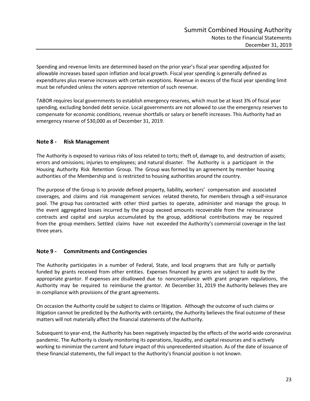Spending and revenue limits are determined based on the prior year's fiscal year spending adjusted for allowable increases based upon inflation and local growth. Fiscal year spending is generally defined as expenditures plus reserve increases with certain exceptions. Revenue in excess of the fiscal year spending limit must be refunded unless the voters approve retention of such revenue.

TABOR requires local governments to establish emergency reserves, which must be at least 3% of fiscal year spending, excluding bonded debt service. Local governments are not allowed to use the emergency reserves to compensate for economic conditions, revenue shortfalls or salary or benefit increases. This Authority had an emergency reserve of \$30,000 as of December 31, 2019.

# **Note 8 - Risk Management**

The Authority is exposed to various risks of loss related to torts; theft of, damage to, and destruction of assets; errors and omissions; injuries to employees; and natural disaster. The Authority is a participant in the Housing Authority Risk Retention Group. The Group was formed by an agreement by member housing authorities of the Membership and is restricted to housing authorities around the country.

The purpose of the Group is to provide defined property, liability, workers' compensation and associated coverages, and claims and risk management services related thereto, for members through a self-insurance pool. The group has contracted with other third parties to operate, administer and manage the group. In the event aggregated losses incurred by the group exceed amounts recoverable from the reinsurance contracts and capital and surplus accumulated by the group, additional contributions may be required from the group members. Settled claims have not exceeded the Authority's commercial coverage in the last three years.

# **Note 9 - Commitments and Contingencies**

The Authority participates in a number of Federal, State, and local programs that are fully or partially funded by grants received from other entities. Expenses financed by grants are subject to audit by the appropriate grantor. If expenses are disallowed due to noncompliance with grant program regulations, the Authority may be required to reimburse the grantor. At December 31, 2019 the Authority believes they are in compliance with provisions of the grant agreements.

On occasion the Authority could be subject to claims or litigation. Although the outcome of such claims or litigation cannot be predicted by the Authority with certainty, the Authority believes the final outcome of these matters will not materially affect the financial statements of the Authority.

Subsequent to year-end, the Authority has been negatively impacted by the effects of the world-wide coronavirus pandemic. The Authority is closely monitoring its operations, liquidity, and capital resources and is actively working to minimize the current and future impact of this unprecedented situation. As of the date of issuance of these financial statements, the full impact to the Authority's financial position is not known.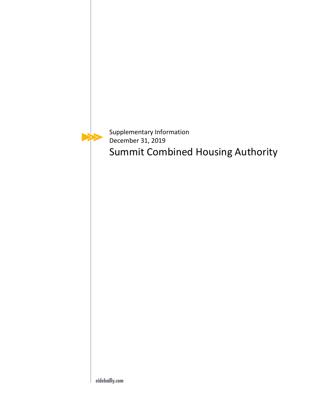

Supplementary Information December 31, 2019 Summit Combined Housing Authority